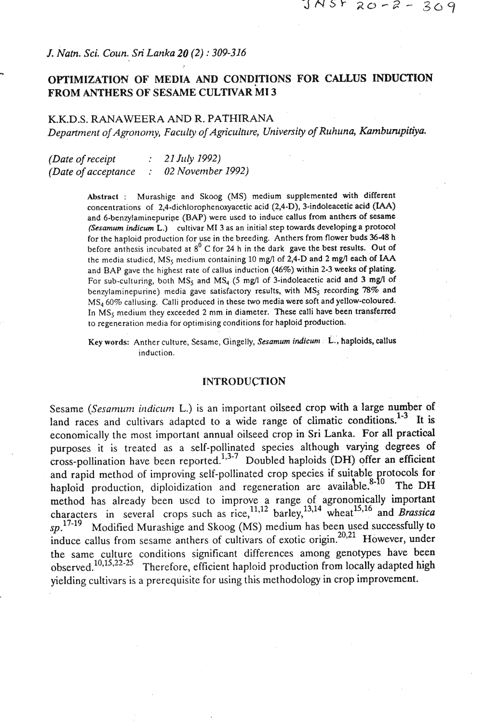### *J. Natn.* **Sci.** *Coun.* **Sri** *Lanka 20 (2)* : *309-316*

-

# **OPI'IMIZATION OF MEDIA AND CONDITIONS FOR CALLUS INDUCTION FROM ANTHERS OF SESAME CULTNAR MI 3**

#### K.K.D.S. **RANAWEERA AND R. PATHIRANA**

Department of Agronomy, Faculty of Agriculture, University of Ruhuna, Kamburupitiya.

*(Date of receipt*  $: 21$  July 1992) *(Date of acceptarlce* : *02 Novenlber 1992)* 

> Abstract : Murashige and Skoog (MS) medium supplemented with different concentrations of **2,4-dichlorophenoxyacetic** acid (2,4-D), 3-indoleacetic acid (IAA) and 6-benzylaminepurige (BAP) were used to induce callus from anthers of **sesame (Sesamum indicum L.)** cultivar **MI** 3 as an initial step towards developinga protocol for the haploid production for use in the breeding. Anthers from flower buds 36-48 h before anthesis incubated at **8'** C for 24 h in the dark gave the best results. Out of the media studied,  $MS<sub>5</sub>$  medium containing 10 mg/l of 2,4-D and 2 mg/l each of IAA and BAP gave the highest rate of callus induction (46%) within 2-3 weeks of plating. For sub-culturing, both  $MS<sub>5</sub>$  and  $MS<sub>4</sub>$  (5 mg/l of 3-indoleacetic acid and 3 mg/l of benzylaminepurine) media gave satisfactory results, with  $MS<sub>S</sub>$  recording 78% and MS<sub>4</sub> 60% callusing. Calli produced in these two media were soft and yellow-coloured. In  $MS<sub>5</sub>$  medium they exceeded 2 mm in diameter. These calli have been transferred to regeneration media for optimising conditions for haploid production.

> Key words: Anther culture, Sesame, Gingelly, Sesamum indicum <sup>1</sup> L., haploids, callus induction.

#### **INTRODUCTION**

Sesame *(Sesamum indicum L.)* is an important oilseed crop with a large number of land races and cultivars adapted to a wide range of climatic conditions.<sup>1-3</sup> It is economically the most important annual oilseed crop in Sri Lanka. For all practical purposes it is treated as a self-pollinated species although varying degrees of cross-pollination have been reported.<sup>1,3-7</sup> Doubled haploids (DH) offer an efficient and rapid method of improving self-pollinated crop species if suitable protocols for haploid production, diploidization and regeneration are available.<sup>8-10</sup> The DH method has already been used to improve a range of agronomically important characters in several crops such as rice,  $^{11,12}$  barley,  $^{13,14}$  wheat  $^{15,16}$  and *Brassica*  $sp.$ <sup>17-19</sup> Modified Murashige and Skoog (MS) medium has been used successfully to induce callus from sesame anthers of cultivars of exotic origin.<sup>20,21</sup> However, under the same culture conditions significant differences among genotypes have been observed.<sup>10,15,22-25</sup> Therefore, efficient haploid production from locally adapted high Therefore, efficient haploid production from locally adapted high yielding cultivars is a prerequisite for using this methodology in crop improvement.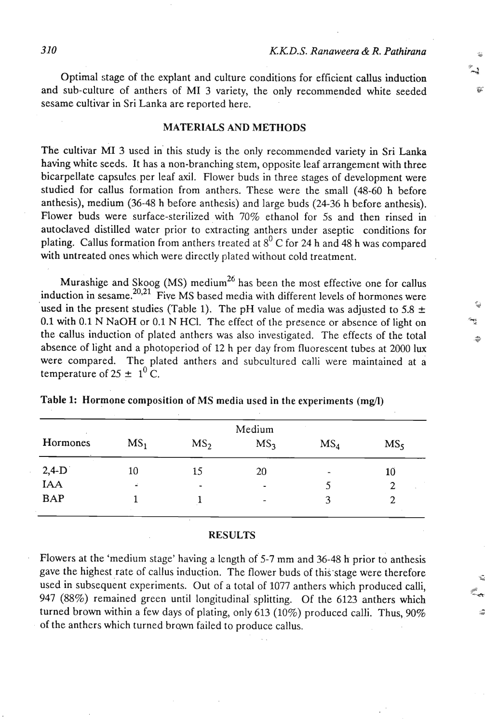冢

¢

Optimal stage of the explant and culture conditions for efficient callus induction and sub-culture of anthers of MI 3 variety, the only recommended white seeded sesame cultivar in Sri Lanka are reported here.

## **MATERIALS AND METHODS**

The cultivar MI 3 used in this study is the only recommended variety in Sri Lanka having white seeds. It has a non-branching stem, opposite leaf arrangement with three bicarpellate capsules per leaf axil. Flower buds in three stages of development were studied for callus formation from anthers. These were the small (48-60 h before anthesis), medium (36-48 h before anthesis) and large buds (24-36 h before anthesis). Flower buds were surface-sterilized with 70% ethanol for 5s and then rinsed in autoclaved distilled water prior to extracting anthers under aseptic conditions for plating. Callus formation from anthers treated at 8' *C* for 24 h and 48 h was compared with untreated ones which were directly plated without cold treatment.

Murashige and Skoog (MS) medium<sup>26</sup> has been the most effective one for callus induction in  ${\rm resame}^{20,21}$ . Five MS based media with different levels of hormones were used in the present studies (Table 1). The pH value of media was adjusted to 5.8  $\pm$ 0.1 with 0.1 N NaOH or 0.1 N HCI. The effect of the presence or absence of light on the callus induction of plated anthers was also investigated. The effects of the total absence of light and a photoperiod of 12 h per day from fluorescent tubes at 2000 lux were compared. The plated anthers and subcultured calli were maintained at a temperature of  $25 \pm 1^0$  C.

| Hormones       | MS <sub>1</sub> | MS <sub>2</sub> | MS <sub>3</sub> | MS <sub>4</sub>          | MS <sub>5</sub> |
|----------------|-----------------|-----------------|-----------------|--------------------------|-----------------|
|                | 10              | 15              | 20              | $\overline{\phantom{a}}$ | 10              |
| $2,4-D$<br>IAA | чò.             | $\blacksquare$  |                 |                          | $\overline{c}$  |
| <b>BAP</b>     |                 |                 | -               | 3                        |                 |

## **Table 1: Hormone composition of MS media used in the experiments (mg/l)**

#### **RESULTS**

Flowers at the 'medium stage' having a length of 5-7 mm and 36-48 **h.** prior to anthesis gave the highest rate of callus induction. The flower buds of this stage were therefore used in subsequent experiments. Out of a total of 1077 anthers which produced calli, 947 (88%) remained green until longitudinal' splitting. Of the 6123 anthers which turned brown within a few days of plating, only 613 (10%) produced calli. Thus,  $90\%$ of the anthers which turned brawn failed to produce callus.

. .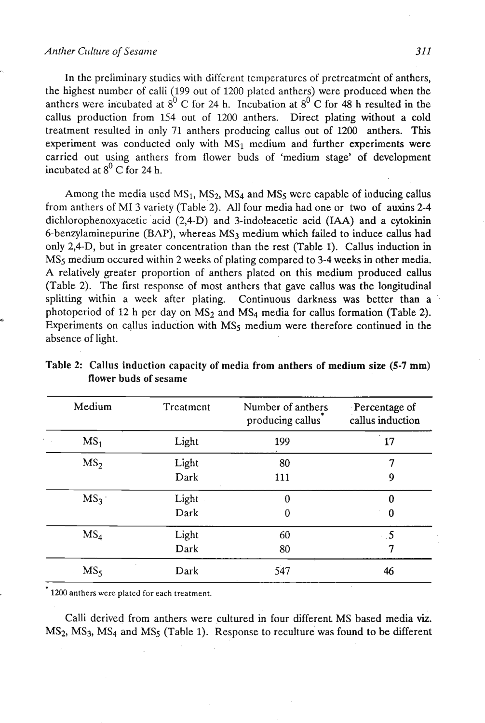#### *Anther* **Culture of** *Sesanle 311*

In the preliminary studies with different temperatures of pretreatment of anthers, the highest number of calli (199 out of 1200 plated anthers) were produced when the anthers were incubated at  $8^{\circ}$  C for 24 h. Incubation at  $8^{\circ}$  C for 48 h resulted in the callus production from 154 out of 1200 anthers. Direct plating without a cold treatment resulted in only 71 anthers producing callus out of 1200 anthers. This experiment was conducted only with  $MS_1$  medium and further experiments were carried out using anthers from flower buds of 'medium stage' of development incubated at  $8^{\circ}$  C for 24 h.

Among the media used  $MS_1$ ,  $MS_2$ ,  $MS_4$  and  $MS_5$  were capable of inducing callus from anthers of MI 3 variety (Table 2). All four media had one or two of auxins 2-4 dichlorophenoxyacetic acid (2,4-D) and 3-indoleacetic acid **(IAA)** and a cytokinin 6-benzylaminepurine (BAP), whereas  $MS_3$  medium which failed to induce callus had only 2,4-D, but in greater concentration than the rest (Table 1). Callus induction in MSs medium occured within 2 weeks of plating compared to 3-4 weeks in other media. A relatively greater proportion of anthers plated on this medium produced callus (Table 2). The first response of most anthers that gave callus was the longitudinal splitting within a week after plating. Continuous darkness was better than a photoperiod of 12 h per day on MS<sub>2</sub> and MS<sub>4</sub> media for callus formation (Table 2). Experiments on callus induction with MS<sub>5</sub> medium were therefore continued in the absence of light.

| Medium          | Treatment | Number of anthers<br>producing callus | Percentage of<br>callus induction |
|-----------------|-----------|---------------------------------------|-----------------------------------|
| MS <sub>1</sub> | Light     | 199                                   | 17                                |
| MS <sub>2</sub> | Light     | 80                                    | 7                                 |
|                 | Dark      | 111                                   | 9                                 |
| MS <sub>3</sub> | Light     | $\theta$                              | 0                                 |
|                 | Dark      | 0                                     | $\bf{0}$                          |
| MS <sub>4</sub> | Light     | 60                                    | $\cdot$ 5                         |
|                 | Dark      | 80                                    | 7                                 |
| MS <sub>5</sub> | Dark      | 547                                   | 46                                |

Table 2: Callus induction capacity of media from anthers of medium size (5-7 mm) flower buds of sesame

1200 anthers were plated for each treatment.

Calli derived from anthers were cultured in four different MS based media **viz.**   $MS<sub>2</sub>$ ,  $MS<sub>3</sub>$ ,  $MS<sub>4</sub>$  and  $MS<sub>5</sub>$  (Table 1). Response to reculture was found to be different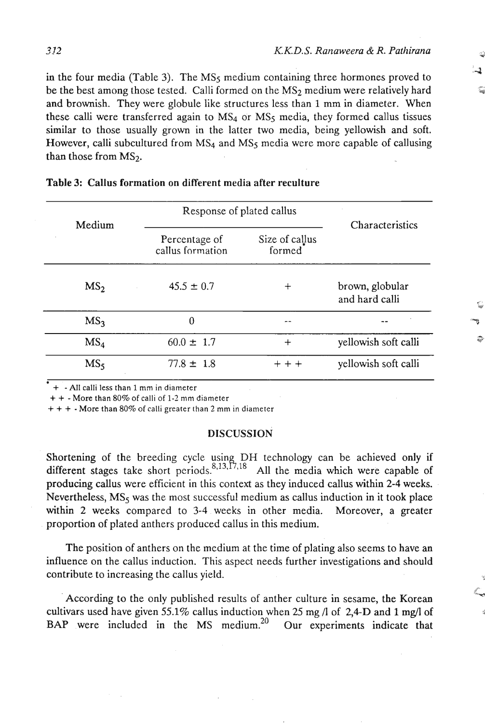in the four media (Table 3). The  $MS<sub>5</sub>$  medium containing three hormones proved to be the best among those tested. Calli formed on the MS<sub>2</sub> medium were relatively hard and brownish. They were globule like structures less than **1** mm in diameter. When these calli were transferred again to  $MS<sub>4</sub>$  or  $MS<sub>5</sub>$  media, they formed callus tissues similar to those usually grown in the latter two media, being yellowish and soft. However, calli subcultured from  $MS<sub>4</sub>$  and  $MS<sub>5</sub>$  media were more capable of callusing than those from  $MS<sub>2</sub>$ .

| Medium          | Response of plated callus         | Characteristics          |                                   |  |
|-----------------|-----------------------------------|--------------------------|-----------------------------------|--|
|                 | Percentage of<br>callus formation | Size of callus<br>formed |                                   |  |
| MS <sub>2</sub> | $45.5 \pm 0.7$                    | $\div$                   | brown, globular<br>and hard calli |  |
| MS <sub>3</sub> | 0                                 |                          |                                   |  |
| MS <sub>4</sub> | $60.0 \pm 1.7$                    | $^{+}$                   | yellowish soft calli              |  |
| MS <sub>5</sub> | $77.8 \pm 1.8$                    | $+ + +$                  | yellowish soft calli              |  |

| <b>Table 3: Callus formation on different media after reculture</b> |  |
|---------------------------------------------------------------------|--|
|---------------------------------------------------------------------|--|

+ -All calli less than 1 mm in diameter

+ + - More than 80% of calli of 1-2 mm diameter

+ + + -More than 80% of calli greater than **2** mm in diameter

#### **DISCUSSION**

Shortening of the breeding cycle using DH technology can be achieved only if different stages take short periods.<sup>8,13, 17,18</sup> All the media which were capable of producing callus were efficient in this context as they induced callus within **2-4** weeks. Nevertheless,  $MS<sub>5</sub>$  was the most successful medium as callus induction in it took place within **2** weeks compared to 3-4 weeks in other media. Moreover, a greater proportion of plated anthers produced callus in this medium.

The position of anthers on the medium at the time of plating also seems to have **an**  influence on the callus induction. This aspect needs further investigations and should contribute to increasing the callus yield.

According to the only published results of anther culture in sesame, the Korean cultivars used have given 55.1% callus induction when 25 mg /l of 2,4-D and 1 mg/l of BAP were included in the MS medium.<sup>20</sup> Our experiments indicate that BAP were included in the MS medium.<sup>20</sup>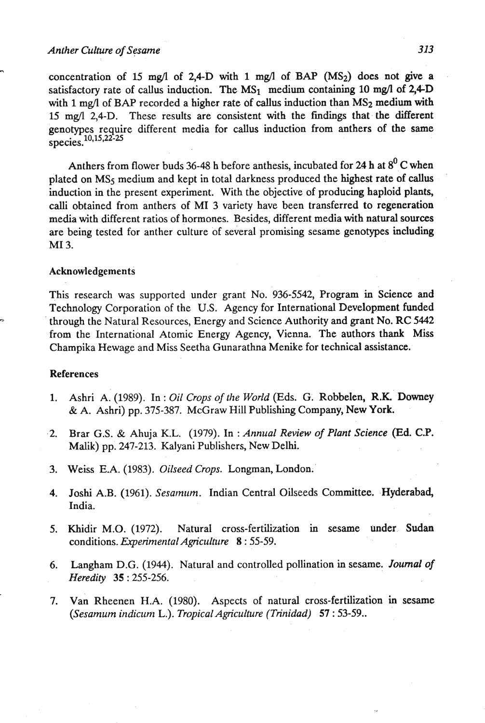## *Anther Culture of Sesame 313*

-

concentration of 15 mg/l of 2.4-D with 1 mg/l of BAP ( $MS<sub>2</sub>$ ) does not give a satisfactory rate of callus induction. The  $MS_1$  medium containing 10 mg/l of 2,4-D with 1 mg/l of BAP recorded a higher rate of callus induction than  $MS_2$  medium with 15 mg/l 2,4-D. These results are consistent with the findings that the different genotypes require different media for callus induction from anthers of the same species. 10,15,22-25

Anthers from flower buds 36-48 h before anthesis, incubated for 24 h at **8'** C when plated on MSs medium and kept in total darkness produced the highest rate of callus induction in the present experiment. With the objective of producing haploid plants, calli obtained from anthers of MI 3 variety have been transferred to regeneration media with different ratios of hormones. Besides, different media with natural sources are being tested for anther culture of several promising sesame genotypes including MI 3.

### Acknowledgements

This research was supported under grant No. 936-5542, Program in Science and Technology Corporation of the U.S. Agency for International Development funded through the Natural Resources, Energy and Science Authority and grant No. RC 5442 from the International Atomic Energy Agency, Vienna. The authors thank Miss Champika Hewage and Miss Seetha Gunarathna Menike for technical assistance.

### References

- 1. Ashri A. (1989). In: *Oil Crops of the World* (Eds. G. Robbelen, R.K. Downey & A. Ashri) pp. 375-387. McGraw Hill Publishing Company, New York.
- .2. Brar G.S. & Ahuja K.L. (1979). In : *Annual Review of Plant Science (Ed.* C.P. Malik) pp. 247-213. Kalyani Publishers, New Delhi.
- 3. Weiss E.A. (1983). *Oilseed Crops.* Longman, London;'
- 4. Joshi A.B. (1961). Sesamum. Indian Central Oilseeds Committee. Hyderabad, India.
- 5. Khidir M.O. (1972). Natural cross-fertilization in sesame under. Sudan conditions. *Experimental Agriculture* <sup>8</sup>-: 55-59.
- *6.* Langham D.G. (1944). Natural and controlled pollination in sesame. Journal of *Heredity 35* : 255-256.
- 7. van Rheenen H.A. (1980). Aspects of natural cross-fertilization in sesame *(Sesamum indicrinz* L.). *Tropical Agriculture (Trinidad) 57* : 53-59..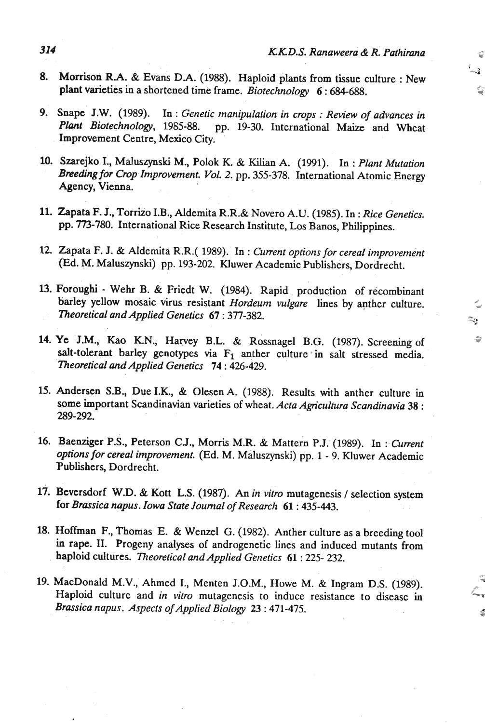″ء-÷

- **8.** Morrison **RA.** & Evans D.A. (1988). Haploid plants from tissue culture : New plant varieties in a shortened time frame. *Biotechnology* **<sup>6</sup>**: *684-688.*
- 9. Snape J.W. (1989). In : *Genetic manipulation in crops : Review of advances in Plant Biotechnology*, 1985-88. pp. 19-30. International Maize and Wheat pp. 19-30. International Maize and Wheat Improvement Centre, Mexico City.
- **10.** Szarejko I., Maluszynski M., Polok K. & Kilian A. (1991). In : *Plant Mutation Breeding for Crop Improvement. Vol. 2.* pp. 355-378. International Atomic Energy Agency, Vienna.
- 11. Zapata F. J., Torrizo I.B., Aldemita R.R.& Novero A.U. (1985). In: Rice Genetics. pp. 773-780. International Rice Research Institute, Los Banos, Philippines.
- 12. Zapata F. J. & Aldemita R.R.( 1989). In : *Current options for cereal improvement*  (Ed. M. Maluszynski) pp. 193-202. Kluwer Academic Publishers, Dordrecht.
- **W.** Foroughi Wehr *B.* & Friedt W. (1984). Rapid production of recombinant barley yellow mosaic virus resistant *Hordeum vulgare* lines by anther culture. *Theoretical andApplied Genetics 67* : 377-382.
- 14. Ye J.M., Kao K.N., Harvey B.L. & Rossnagel B.G. (1987). Screening of salt-tolerant barley genotypes via  $F_1$  anther culture in salt stressed media. *Theoretical and Applied Genetics 74* : 426-429.
- 15. Andersen S.B., Due **I.K.,** & Olesen A. (1988). Results with anther culture in some important Scandinavian varieties of wheat. *Acta Agriculfura Scandinavia* **<sup>38</sup>**: 289-292.
- 16. Baenziger P.S., Peterson C.J., Morris M.R. & Mattern P.J. (1989). In : Current *options for cereal improvement.* (Ed. M. Maluszynski) pp. 1 - 9. Kluwer Academic Publishers, Dordrecht.
- 17. Beversdorf W.D. & Kott L.S. (1987). An *in vitro* mutagenesis / selection system for *Brassica napus. Iowa State Journal of Research* **61**: 435-443.
- **18.** Hoffman **F.,** Thomas E. & Wenzel G. (1982). Anther culture as a breeding tool in rape. **XI.** Progeny analyses of androgenetic lines and induced mutants from haploid cultures. *Theoretical and Applied Genetics* **<sup>61</sup>**: 225- 232.
- 19. MacDonald M.V., Ahmed I., Menten J.O.M., Howe M. & Ingram D.S. (1989). Haploid culture and *in vitro* mutagenesis to induce resistance to disease in *Brassica napus. Aspects of Applied Biology 23* : 471-475.